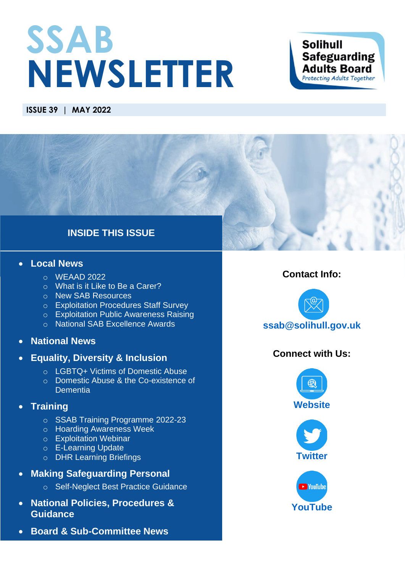# **SSAB NEWSLETTER**

### **Solihull Safeguarding Adults Board** Protecting Adults Together

### **ISSUE 39 | MAY 2022**

### **INSIDE THIS ISSUE**

### • **[Local News](#page-1-0)**

- $O$  [WEAAD 2022](#page-1-1)
- o [What is it Like to Be a Carer?](#page-2-0)
- o [New SAB Resources](#page-2-1)
- o [Exploitation Procedures Staff Survey](#page-2-2)
- o [Exploitation Public Awareness Raising](#page-3-0)
- o [National SAB Excellence Awards](#page-4-0)
- **[National News](#page-5-0)**
- **[Equality, Diversity & Inclusion](#page-5-1)**
	- o [LGBTQ+ Victims of Domestic Abuse](#page-5-2)
	- o Domestic Abuse & [the Co-existence of](#page-5-3)  **[Dementia](#page-5-3)**

### • **[Training](#page-6-0)**

- o [SSAB Training Programme 2022-23](#page-6-1)
- o [Hoarding Awareness Week](#page-6-2)
- o [Exploitation Webinar](#page-6-3)
- o [E-Learning Update](#page-7-0)
- o [DHR Learning Briefings](#page-7-1)
- **[Making Safeguarding Personal](#page-7-2)**
	- o [Self-Neglect Best Practice Guidance](#page-7-3)
- **[National Policies,](#page-8-0) Procedures & [Guidance](#page-8-0)**
- **[Board & Sub-Committee News](#page-9-0)**

### **Contact Info:**



### **Connect with Us:**





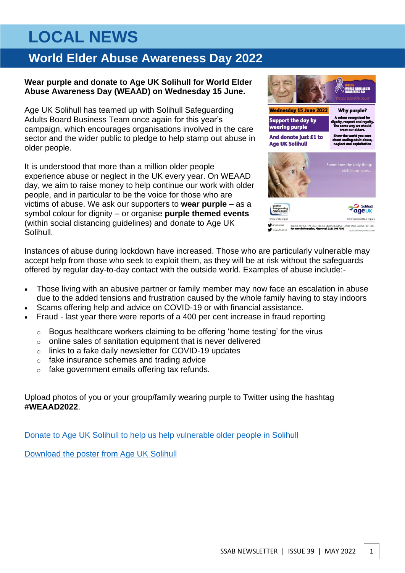# <span id="page-1-0"></span>**LOCAL NEWS**

# <span id="page-1-1"></span>**World Elder Abuse Awareness Day 2022**

### **Wear purple and donate to Age UK Solihull for World Elder Abuse Awareness Day (WEAAD) on Wednesday 15 June.**

Age UK Solihull has teamed up with Solihull Safeguarding Adults Board Business Team once again for this year's campaign, which encourages organisations involved in the care sector and the wider public to pledge to help stamp out abuse in older people.

It is understood that more than a million older people experience abuse or neglect in the UK every year. On WEAAD day, we aim to raise money to help continue our work with older people, and in particular to be the voice for those who are victims of abuse. We ask our supporters to **wear purple** – as a symbol colour for dignity – or organise **purple themed events** (within social distancing guidelines) and donate to Age UK Solihull.



Instances of abuse during lockdown have increased. Those who are particularly vulnerable may accept help from those who seek to exploit them, as they will be at risk without the safeguards offered by regular day-to-day contact with the outside world. Examples of abuse include:-

- Those living with an abusive partner or family member may now face an escalation in abuse due to the added tensions and frustration caused by the whole family having to stay indoors
- Scams offering help and advice on COVID-19 or with financial assistance.
- Fraud last year there were reports of a 400 per cent increase in fraud reporting
	- o Bogus healthcare workers claiming to be offering 'home testing' for the virus
	- o online sales of sanitation equipment that is never delivered
	- o links to a fake daily newsletter for COVID-19 updates
	- o fake insurance schemes and trading advice
	- o fake government emails offering tax refunds.

Upload photos of you or your group/family wearing purple to Twitter using the hashtag **#WEAAD2022**.

[Donate to Age UK Solihull to help us help vulnerable older people in Solihull](https://givepenny.com/appeal-for/weaad2022)

[Download the poster from Age UK Solihull](https://www.ageuk.org.uk/bp-assets/globalassets/solihull/fundraising/events/weaad/weaad-2022-poster.pdf)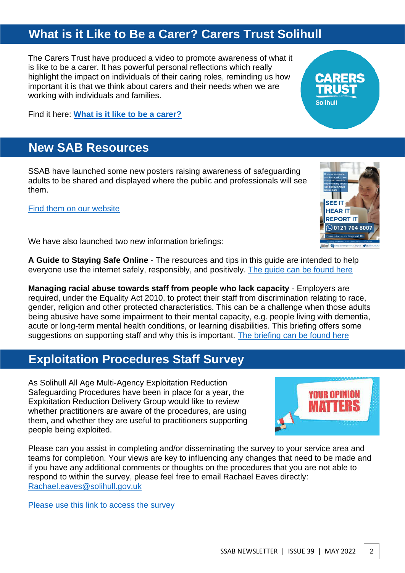### <span id="page-2-0"></span>**What is it Like to Be a Carer? Carers Trust Solihull**

The Carers Trust have produced a video to promote awareness of what it is like to be a carer. It has powerful personal reflections which really highlight the impact on individuals of their caring roles, reminding us how important it is that we think about carers and their needs when we are working with individuals and families.

Find it here: **[What is it like to be a carer?](https://youtu.be/Q1LYP3Jkcuk)**

### <span id="page-2-1"></span>**New SAB Resources**

SSAB have launched some new posters raising awareness of safeguarding adults to be shared and displayed where the public and professionals will see them.

[Find them on our website](https://www.safeguardingsolihull.org.uk/ssab/what-is-abuse/posters/)

We have also launched two new information briefings:

**A Guide to Staying Safe Online** - The resources and tips in this guide are intended to help everyone use the internet safely, responsibly, and positively. [The guide can be found here](https://www.safeguardingsolihull.org.uk/ssab/wp-content/uploads/sites/2/2022/05/Staying-Safe-Online-Guide.pdf)

**Managing racial abuse towards staff from people who lack capacity** - Employers are required, under the Equality Act 2010, to protect their staff from discrimination relating to race, gender, religion and other protected characteristics. This can be a challenge when those adults being abusive have some impairment to their mental capacity, e.g. people living with dementia, acute or long-term mental health conditions, or learning disabilities. This briefing offers some suggestions on supporting staff and why this is important. [The briefing can be found here](https://www.safeguardingsolihull.org.uk/ssab/wp-content/uploads/sites/2/2022/05/Managing-Racial-Abuse-Towards-Staff-from-People-Who-Lack-Capacity.pdf)

### <span id="page-2-2"></span>**Exploitation Procedures Staff Survey**

As Solihull All Age Multi-Agency Exploitation Reduction Safeguarding Procedures have been in place for a year, the Exploitation Reduction Delivery Group would like to review whether practitioners are aware of the procedures, are using them, and whether they are useful to practitioners supporting people being exploited.

Please can you assist in completing and/or disseminating the survey to your service area and teams for completion. Your views are key to influencing any changes that need to be made and if you have any additional comments or thoughts on the procedures that you are not able to respond to within the survey, please feel free to email Rachael Eaves directly: [Rachael.eaves@solihull.gov.uk](mailto:Rachael.eaves@solihull.gov.uk)

[Please use this link to access the survey](https://forms.office.com/Pages/ResponsePage.aspx?id=rgObbdmfb06EmZuschoIFICWurDzD-tLsTZHnkbIBzVUODNHOVgwU0lKRzdHTjQzM1k3VTFCMk1IWi4u&wdLOR=c6E9E8A55-86B5-486A-91B0-7A8CA2B1746B)







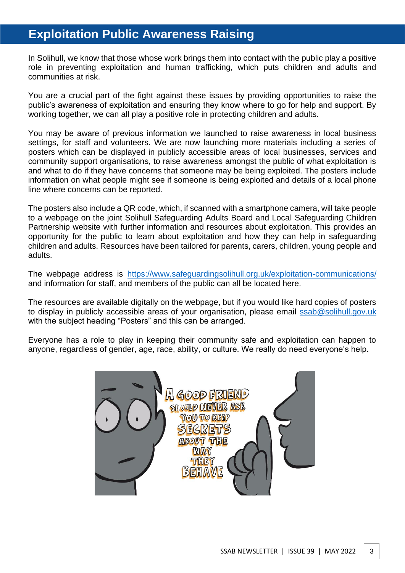# <span id="page-3-0"></span>**Exploitation Public Awareness Raising**

In Solihull, we know that those whose work brings them into contact with the public play a positive role in preventing exploitation and human trafficking, which puts children and adults and communities at risk.

You are a crucial part of the fight against these issues by providing opportunities to raise the public's awareness of exploitation and ensuring they know where to go for help and support. By working together, we can all play a positive role in protecting children and adults.

You may be aware of previous information we launched to raise awareness in local business settings, for staff and volunteers. We are now launching more materials including a series of posters which can be displayed in publicly accessible areas of local businesses, services and community support organisations, to raise awareness amongst the public of what exploitation is and what to do if they have concerns that someone may be being exploited. The posters include information on what people might see if someone is being exploited and details of a local phone line where concerns can be reported.

The posters also include a QR code, which, if scanned with a smartphone camera, will take people to a webpage on the joint Solihull Safeguarding Adults Board and Local Safeguarding Children Partnership website with further information and resources about exploitation. This provides an opportunity for the public to learn about exploitation and how they can help in safeguarding children and adults. Resources have been tailored for parents, carers, children, young people and adults.

The webpage address is <https://www.safeguardingsolihull.org.uk/exploitation-communications/> and information for staff, and members of the public can all be located here.

The resources are available digitally on the webpage, but if you would like hard copies of posters to display in publicly accessible areas of your organisation, please email [ssab@solihull.gov.uk](mailto:ssab@solihull.gov.uk) with the subject heading "Posters" and this can be arranged.

Everyone has a role to play in keeping their community safe and exploitation can happen to anyone, regardless of gender, age, race, ability, or culture. We really do need everyone's help.

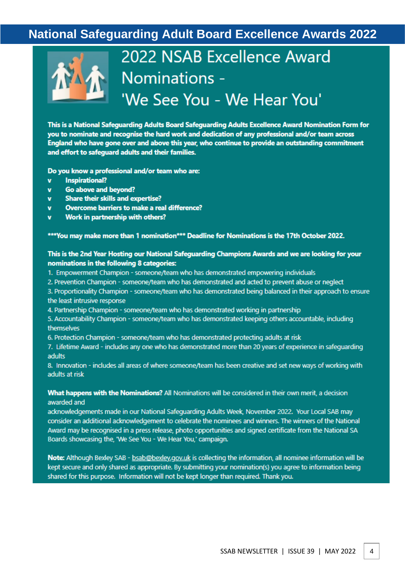# <span id="page-4-0"></span>**National Safeguarding Adult Board Excellence Awards 2022**



# 2022 NSAB Excellence Award Nominations -'We See You - We Hear You'

This is a National Safeguarding Adults Board Safeguarding Adults Excellence Award Nomination Form for you to nominate and recognise the hard work and dedication of any professional and/or team across England who have gone over and above this year, who continue to provide an outstanding commitment and effort to safequard adults and their families.

Do you know a professional and/or team who are:

- **Inspirational?**  $\mathbf{v}$
- Go above and beyond?  $\mathbf{v}$
- **Share their skills and expertise?**  $\mathbf{v}$
- Overcome barriers to make a real difference?  $\mathbf{v}$
- Work in partnership with others?  $\mathbf{v}$

\*\*\* You may make more than 1 nomination\*\*\* Deadline for Nominations is the 17th October 2022.

#### This is the 2nd Year Hosting our National Safeguarding Champions Awards and we are looking for your nominations in the following 8 categories:

- 1. Empowerment Champion someone/team who has demonstrated empowering individuals
- 2. Prevention Champion someone/team who has demonstrated and acted to prevent abuse or neglect

3. Proportionality Champion - someone/team who has demonstrated being balanced in their approach to ensure the least intrusive response

4. Partnership Champion - someone/team who has demonstrated working in partnership

5. Accountability Champion - someone/team who has demonstrated keeping others accountable, including themselves

6. Protection Champion - someone/team who has demonstrated protecting adults at risk

7. Lifetime Award - includes any one who has demonstrated more than 20 years of experience in safequarding adults

8. Innovation - includes all areas of where someone/team has been creative and set new ways of working with adults at risk

#### What happens with the Nominations? All Nominations will be considered in their own merit, a decision awarded and

acknowledgements made in our National Safeguarding Adults Week, November 2022. Your Local SAB may consider an additional acknowledgement to celebrate the nominees and winners. The winners of the National Award may be recognised in a press release, photo opportunities and signed certificate from the National SA Boards showcasing the, 'We See You - We Hear You,' campaign.

Note: Although Bexley SAB - bsab@bexley.gov.uk is collecting the information, all nominee information will be kept secure and only shared as appropriate. By submitting your nomination(s) you agree to information being shared for this purpose. Information will not be kept longer than required. Thank you.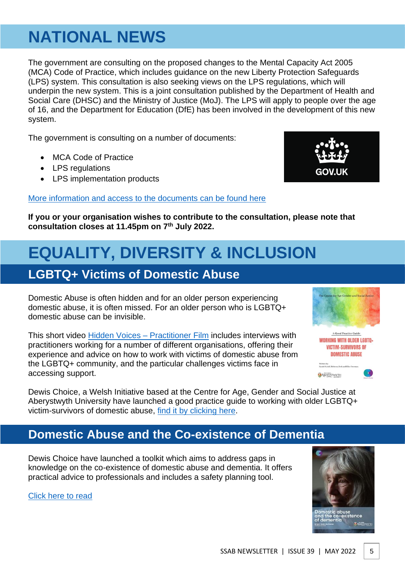# <span id="page-5-0"></span>**NATIONAL NEWS**

The government are consulting on the proposed changes to the Mental Capacity Act 2005 (MCA) Code of Practice, which includes guidance on the new Liberty Protection Safeguards (LPS) system. This consultation is also seeking views on the LPS regulations, which will underpin the new system. This is a joint consultation published by the Department of Health and Social Care (DHSC) and the Ministry of Justice (MoJ). The LPS will apply to people over the age of 16, and the Department for Education (DfE) has been involved in the development of this new system.

The government is consulting on a number of documents:

- MCA Code of Practice
- LPS regulations
- LPS implementation products

### [More information and access to the documents can be found here](https://www.gov.uk/government/consultations/changes-to-the-mca-code-of-practice-and-implementation-of-the-lps)



The Centre for Age Gender and So

A Good Practice Guide **WORKING WITH OLDER LGBTQ+ VICTIM-SURVIVORS OF DOMESTIC ABUSE** 

ABERYSTWYTH

**If you or your organisation wishes to contribute to the consultation, please note that consultation closes at 11.45pm on 7th July 2022.**

# <span id="page-5-1"></span>**EQUALITY, DIVERSITY & INCLUSION**

## <span id="page-5-2"></span>**LGBTQ+ Victims of Domestic Abuse**

Domestic Abuse is often hidden and for an older person experiencing domestic abuse, it is often missed. For an older person who is LGBTQ+ domestic abuse can be invisible.

This short video Hidden Voices - Practitioner Film includes interviews with practitioners working for a number of different organisations, offering their experience and advice on how to work with victims of domestic abuse from the LGBTQ+ community, and the particular challenges victims face in accessing support.

Dewis Choice, a Welsh Initiative based at the Centre for Age, Gender and Social Justice at Aberystwyth University have launched a good practice guide to working with older LGBTQ+ victim-survivors of domestic abuse, [find it by clicking here.](https://dewischoice.org.uk/wp-content/uploads/2022/03/Working-with-Older-LGBTQ-FINAL_compressed-3.pdf)

### <span id="page-5-3"></span>**Domestic Abuse and the Co-existence of Dementia**

Dewis Choice have launched a toolkit which aims to address gaps in knowledge on the co-existence of domestic abuse and dementia. It offers practical advice to professionals and includes a safety planning tool.

[Click here to read](https://dewischoice.org.uk/wp-content/uploads/2022/02/Dewis-Choice-Dementia-and-DA_COMPRESSED.pdf)

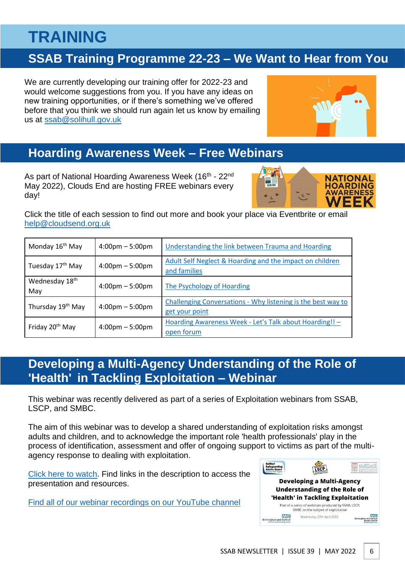# <span id="page-6-0"></span>**TRAINING**

# <span id="page-6-1"></span>**SSAB Training Programme 22-23 – We Want to Hear from You**

We are currently developing our training offer for 2022-23 and would welcome suggestions from you. If you have any ideas on new training opportunities, or if there's something we've offered before that you think we should run again let us know by emailing us at [ssab@solihull.gov.uk](mailto:ssab@solihull.gov.uk)

<span id="page-6-2"></span>

As part of National Hoarding Awareness Week (16<sup>th</sup> - 22<sup>nd</sup> May 2022), Clouds End are hosting FREE webinars every day!



Click the title of each session to find out more and book your place via Eventbrite or email [help@cloudsend.org.uk](mailto:help@cloudsend.org.uk)

| Monday 16 <sup>th</sup> May   | $4:00 \text{pm} - 5:00 \text{pm}$ | <b>Understanding the link between Trauma and Hoarding</b>                      |  |
|-------------------------------|-----------------------------------|--------------------------------------------------------------------------------|--|
| Tuesday 17 <sup>th</sup> May  | $4:00 \text{pm} - 5:00 \text{pm}$ | Adult Self Neglect & Hoarding and the impact on children<br>and families       |  |
| Wednesday 18th<br>May         | $4:00 \text{pm} - 5:00 \text{pm}$ | The Psychology of Hoarding                                                     |  |
| Thursday 19 <sup>th</sup> May | $4:00 \text{pm} - 5:00 \text{pm}$ | Challenging Conversations - Why listening is the best way to<br>get your point |  |
| Friday 20 <sup>th</sup> May   | $4:00 \text{pm} - 5:00 \text{pm}$ | Hoarding Awareness Week - Let's Talk about Hoarding!! -<br>open forum          |  |

### <span id="page-6-3"></span>**Developing a Multi-Agency Understanding of the Role of 'Health' in Tackling Exploitation – Webinar**

This webinar was recently delivered as part of a series of Exploitation webinars from SSAB, LSCP, and SMBC.

The aim of this webinar was to develop a shared understanding of exploitation risks amongst adults and children, and to acknowledge the important role 'health professionals' play in the process of identification, assessment and offer of ongoing support to victims as part of the multiagency response to dealing with exploitation.

[Click here to watch.](https://www.youtube.com/watch?v=YhvYSg6bNRs) Find links in the description to access the presentation and resources.

[Find all of our webinar recordings on our YouTube channel](https://www.youtube.com/channel/UCb26Np3lCZk5RJ_p5dsylWQ/videos)

| <b>Solihull</b><br><b>Safeguarding</b><br>ults Board                   |                                                                                             |                                                                |
|------------------------------------------------------------------------|---------------------------------------------------------------------------------------------|----------------------------------------------------------------|
|                                                                        | <b>Developing a Multi-Agency</b><br><b>Understanding of the Role of</b>                     |                                                                |
|                                                                        | 'Health' in Tackling Exploitation                                                           |                                                                |
|                                                                        | Part of a series of webinars produced by SSAB, LSCP,<br>SMBC on the subject of exploitation |                                                                |
| INHS<br><b>Birmingham and Solihull</b><br>Clinical Commissioning Group | Wednesday 27th April 2022                                                                   | <b>Birmingham and Solihul</b><br><b>MAT Environments Trust</b> |

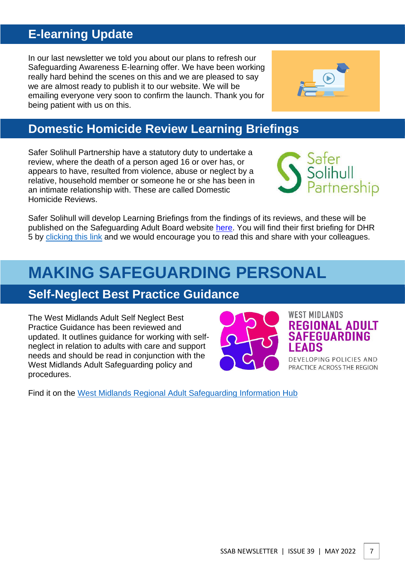# <span id="page-7-0"></span>**E-learning Update**

In our last newsletter we told you about our plans to refresh our Safeguarding Awareness E-learning offer. We have been working really hard behind the scenes on this and we are pleased to say we are almost ready to publish it to our website. We will be emailing everyone very soon to confirm the launch. Thank you for being patient with us on this.

<span id="page-7-1"></span>

Safer Solihull Partnership have a statutory duty to undertake a review, where the death of a person aged 16 or over has, or appears to have, resulted from violence, abuse or neglect by a relative, household member or someone he or she has been in an intimate relationship with. These are called Domestic Homicide Reviews.

Safer Solihull will develop Learning Briefings from the findings of its reviews, and these will be published on the Safeguarding Adult Board website [here.](https://www.safeguardingsolihull.org.uk/safer-solihull-partnership-dhr-reviews/) You will find their first briefing for DHR 5 by [clicking this](https://www.safeguardingsolihull.org.uk/wp-content/uploads/2022/04/SMBC-Domestic-Homicide-Review-5.pdf) link and we would encourage you to read this and share with your colleagues.

# <span id="page-7-2"></span>**MAKING SAFEGUARDING PERSONAL**

### <span id="page-7-3"></span>**Self-Neglect Best Practice Guidance**

The West Midlands Adult Self Neglect Best Practice Guidance has been reviewed and updated. It outlines guidance for working with selfneglect in relation to adults with care and support needs and should be read in conjunction with the West Midlands Adult Safeguarding policy and procedures.

Find it on the [West Midlands Regional Adult Safeguarding Information Hub](https://www.safeguardingwarwickshire.co.uk/safeguarding-adults/i-work-with-adults/west-midlands-regional-safeguarding-information-hub) 





**WEST MIDLANDS** 

**REGIONAL ADULT SAFEGUARDING** 

DEVELOPING POLICIES AND PRACTICE ACROSS THE REGION

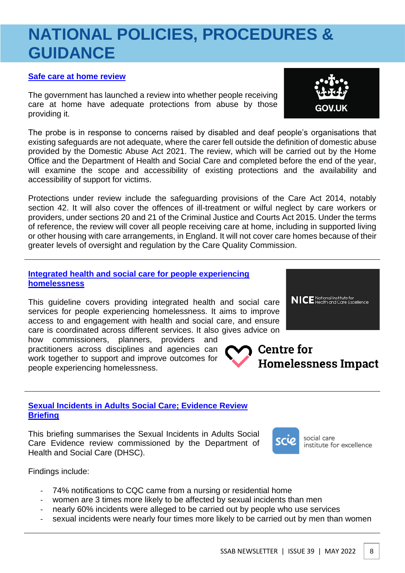# <span id="page-8-0"></span>**NATIONAL POLICIES, PROCEDURES & GUIDANCE**

### **[Safe care at home review](https://www.gov.uk/government/publications/safe-care-at-home-review-terms-of-reference)**

The government has launched a review into whether people receiving care at home have adequate protections from abuse by those providing it.

The probe is in response to concerns raised by disabled and deaf people's organisations that existing safeguards are not adequate, where the carer fell outside the definition of domestic abuse provided by the Domestic Abuse Act 2021. The review, which will be carried out by the Home Office and the Department of Health and Social Care and completed before the end of the year, will examine the scope and accessibility of existing protections and the availability and accessibility of support for victims.

Protections under review include the safeguarding provisions of the Care Act 2014, notably section 42. It will also cover the offences of ill-treatment or wilful neglect by care workers or providers, under sections 20 and 21 of the Criminal Justice and Courts Act 2015. Under the terms of reference, the review will cover all people receiving care at home, including in supported living or other housing with care arrangements, in England. It will not cover care homes because of their greater levels of oversight and regulation by the Care Quality Commission.

### **[Integrated health and social care for people experiencing](https://www.nice.org.uk/guidance/ng214/resources/integrated-health-and-social-care-for-people-experiencing-homelessness-pdf-66143775200965)  [homelessness](https://www.nice.org.uk/guidance/ng214/resources/integrated-health-and-social-care-for-people-experiencing-homelessness-pdf-66143775200965)**

This guideline covers providing integrated health and social care services for people experiencing homelessness. It aims to improve access to and engagement with health and social care, and ensure care is coordinated across different services. It also gives advice on

how commissioners, planners, providers and practitioners across disciplines and agencies can work together to support and improve outcomes for people experiencing homelessness.

### **[Sexual Incidents in Adults Social Care; Evidence Review](https://www.scie.org.uk/safeguarding/evidence/sexual-incidents-adults-social-care)  [Briefing](https://www.scie.org.uk/safeguarding/evidence/sexual-incidents-adults-social-care)**

This briefing summarises the Sexual Incidents in Adults Social Care Evidence review commissioned by the Department of Health and Social Care (DHSC).

Findings include:

- 74% notifications to CQC came from a nursing or residential home
- women are 3 times more likely to be affected by sexual incidents than men
	- nearly 60% incidents were alleged to be carried out by people who use services
- sexual incidents were nearly four times more likely to be carried out by men than women



**Homelessness Impact** 





Centre for

social care institute for excellence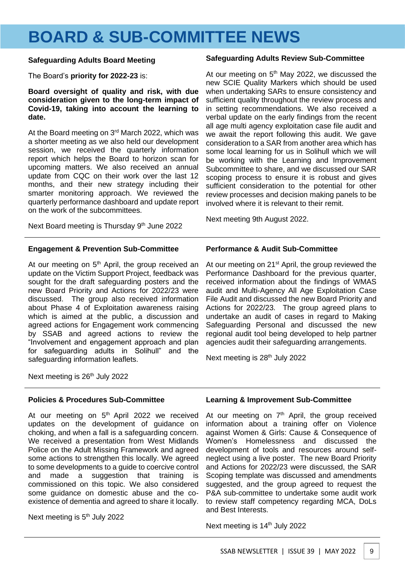# <span id="page-9-0"></span>**BOARD & SUB-COMMITTEE NEWS**

#### **Safeguarding Adults Board Meeting**

The Board's **priority for 2022-23** is:

**Board oversight of quality and risk, with due consideration given to the long-term impact of Covid-19, taking into account the learning to date.** 

At the Board meeting on 3<sup>rd</sup> March 2022, which was a shorter meeting as we also held our development session, we received the quarterly information report which helps the Board to horizon scan for upcoming matters. We also received an annual update from CQC on their work over the last 12 months, and their new strategy including their smarter monitoring approach. We reviewed the quarterly performance dashboard and update report on the work of the subcommittees.

Next Board meeting is Thursday 9<sup>th</sup> June 2022

#### **Engagement & Prevention Sub-Committee**

At our meeting on  $5<sup>th</sup>$  April, the group received an update on the Victim Support Project, feedback was sought for the draft safeguarding posters and the new Board Priority and Actions for 2022/23 were discussed. The group also received information about Phase 4 of Exploitation awareness raising which is aimed at the public, a discussion and agreed actions for Engagement work commencing by SSAB and agreed actions to review the "Involvement and engagement approach and plan for safeguarding adults in Solihull" and the safeguarding information leaflets.

#### **Safeguarding Adults Review Sub-Committee**

At our meeting on  $5<sup>th</sup>$  May 2022, we discussed the new SCIE Quality Markers which should be used when undertaking SARs to ensure consistency and sufficient quality throughout the review process and in setting recommendations. We also received a verbal update on the early findings from the recent all age multi agency exploitation case file audit and we await the report following this audit. We gave consideration to a SAR from another area which has some local learning for us in Solihull which we will be working with the Learning and Improvement Subcommittee to share, and we discussed our SAR scoping process to ensure it is robust and gives sufficient consideration to the potential for other review processes and decision making panels to be involved where it is relevant to their remit.

Next meeting 9th August 2022.

### **Performance & Audit Sub-Committee**

At our meeting on 21<sup>st</sup> April, the group reviewed the Performance Dashboard for the previous quarter, received information about the findings of WMAS audit and Multi-Agency All Age Exploitation Case File Audit and discussed the new Board Priority and Actions for 2022/23. The group agreed plans to undertake an audit of cases in regard to Making Safeguarding Personal and discussed the new regional audit tool being developed to help partner agencies audit their safeguarding arrangements.

Next meeting is 28<sup>th</sup> July 2022

Next meeting is  $26<sup>th</sup>$  July 2022

### **Policies & Procedures Sub-Committee**

At our meeting on 5<sup>th</sup> April 2022 we received updates on the development of guidance on choking, and when a fall is a safeguarding concern. We received a presentation from West Midlands Police on the Adult Missing Framework and agreed some actions to strengthen this locally. We agreed to some developments to a guide to coercive control and made a suggestion that training is commissioned on this topic. We also considered some guidance on domestic abuse and the coexistence of dementia and agreed to share it locally.

Next meeting is 5<sup>th</sup> July 2022

### **Learning & Improvement Sub-Committee**

At our meeting on  $7<sup>th</sup>$  April, the group received information about a training offer on Violence against Women & Girls: Cause & Consequence of Women's Homelessness and discussed the development of tools and resources around selfneglect using a live poster. The new Board Priority and Actions for 2022/23 were discussed, the SAR Scoping template was discussed and amendments suggested, and the group agreed to request the P&A sub-committee to undertake some audit work to review staff competency regarding MCA, DoLs and Best Interests.

Next meeting is 14<sup>th</sup> July 2022